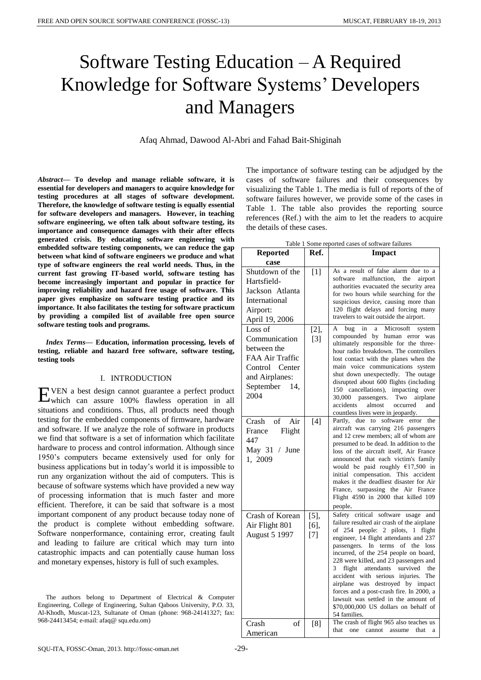# Software Testing Education – A Required Knowledge for Software Systems' Developers and Managers

Afaq Ahmad, Dawood Al-Abri and Fahad Bait-Shiginah

*Abstract—* **To develop and manage reliable software, it is essential for developers and managers to acquire knowledge for testing procedures at all stages of software development. Therefore, the knowledge of software testing is equally essential for software developers and managers. However, in teaching software engineering, we often talk about software testing, its importance and consequence damages with their after effects generated crisis. By educating software engineering with embedded software testing components, we can reduce the gap between what kind of software engineers we produce and what type of software engineers the real world needs. Thus, in the current fast growing IT-based world, software testing has become increasingly important and popular in practice for improving reliability and hazard free usage of software. This paper gives emphasize on software testing practice and its importance. It also facilitates the testing for software practicum by providing a compiled list of available free open source software testing tools and programs.** 

*Index Terms***— Education, information processing, levels of testing, reliable and hazard free software, software testing, testing tools**

## I. INTRODUCTION

VEN a best design cannot guarantee a perfect product  $E$ <sup>VEN</sup> a best design cannot guarantee a perfect product which can assure  $100\%$  flawless operation in all situations and conditions. Thus, all products need though testing for the embedded components of firmware, hardware and software. If we analyze the role of software in products we find that software is a set of information which facilitate hardware to process and control information. Although since 1950's computers became extensively used for only for business applications but in today's world it is impossible to run any organization without the aid of computers. This is because of software systems which have provided a new way of processing information that is much faster and more efficient. Therefore, it can be said that software is a most important component of any product because today none of the product is complete without embedding software. Software nonperformance, containing error, creating fault and leading to failure are critical which may turn into catastrophic impacts and can potentially cause human loss and monetary expenses, history is full of such examples.

The authors belong to Department of Electrical & Computer Engineering, College of Engineering, Sultan Qaboos University, P.O. 33, Al-Khodh, Muscat-123, Sultanate of Oman (phone: 968-24141327; fax: 968-24413454; e-mail: afaq@ squ.edu.om)

The importance of software testing can be adjudged by the cases of software failures and their consequences by visualizing the Table 1. The media is full of reports of the of software failures however, we provide some of the cases in Table 1. The table also provides the reporting source references (Ref.) with the aim to let the readers to acquire the details of these cases.

|                                                                                                                               |                        | rable 1 Some reported cases or sortware railines                                                                                                                                                                                                                                                                                                                                                                                                                                                                                                                               |
|-------------------------------------------------------------------------------------------------------------------------------|------------------------|--------------------------------------------------------------------------------------------------------------------------------------------------------------------------------------------------------------------------------------------------------------------------------------------------------------------------------------------------------------------------------------------------------------------------------------------------------------------------------------------------------------------------------------------------------------------------------|
| <b>Reported</b><br>case                                                                                                       | Ref.                   | <b>Impact</b>                                                                                                                                                                                                                                                                                                                                                                                                                                                                                                                                                                  |
| Shutdown of the<br>Hartsfield-<br>Jackson Atlanta<br>International<br>Airport:<br>April 19, 2006                              | [1]                    | As a result of false alarm due to a<br>software<br>malfunction,<br>the<br>airport<br>authorities evacuated the security area<br>for two hours while searching for the<br>suspicious device, causing more than<br>120 flight delays and forcing many<br>travelers to wait outside the airport.                                                                                                                                                                                                                                                                                  |
| Loss of<br>Communication<br>between the<br>FAA Air Traffic<br>Center<br>Control<br>and Airplanes:<br>September<br>14.<br>2004 | $[2]$ ,<br>$[3]$       | A<br>Microsoft<br>bug<br>in<br>system<br>a<br>compounded by<br>human error<br>was<br>ultimately responsible for the three-<br>hour radio breakdown. The controllers<br>lost contact with the planes when the<br>main voice communications system<br>shut down unexpectedly. The outage<br>disrupted about 600 flights (including<br>150 cancellations), impacting<br>over<br>30,000<br>passengers.<br>Two<br>airplane<br>accidents<br>almost<br>occurred<br>and<br>countless lives were in jeopardy.                                                                           |
| Crash<br>οf<br>Air<br>Flight<br>France<br>447<br>May 31 / June<br>1, 2009                                                     | [4]                    | Partly, due to software error<br>the<br>aircraft was carrying 216 passengers<br>and 12 crew members; all of whom are<br>presumed to be dead. In addition to the<br>loss of the aircraft itself, Air France<br>announced that each victim's family<br>would be paid roughly $£17,500$ in<br>initial compensation. This accident<br>makes it the deadliest disaster for Air<br>France, surpassing the Air France<br>Flight 4590 in 2000 that killed 109<br>people.                                                                                                               |
| Crash of Korean<br>Air Flight 801<br><b>August 5 1997</b>                                                                     | $[5]$ ,<br>[6],<br>[7] | Safety critical software usage<br>and<br>failure resulted air crash of the airplane<br>of $254$ people: 2 pilots, 1<br>flight<br>engineer, 14 flight attendants and 237<br>passengers. In terms<br>of the<br>loss<br>incurred, of the 254 people on board,<br>228 were killed, and 23 passengers and<br>3<br>flight<br>attendants<br>survived<br>the<br>accident with serious injuries.<br>The<br>airplane was destroyed by impact<br>forces and a post-crash fire. In 2000, a<br>lawsuit was settled in the amount of<br>\$70,000,000 US dollars on behalf of<br>54 families. |
| Crash<br>οf<br>American                                                                                                       | [8]                    | The crash of flight 965 also teaches us<br>that<br>cannot<br>assume<br>one<br>that<br>a                                                                                                                                                                                                                                                                                                                                                                                                                                                                                        |

Table 1 Some reported cases of software failures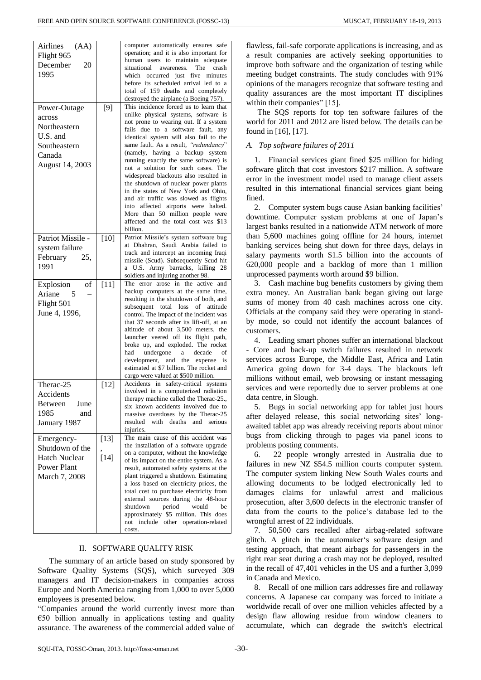| (AA)<br>Airlines<br>Flight 965<br>December<br>20<br>1995                                        |                  | computer automatically ensures safe<br>operation; and it is also important for<br>human users to maintain adequate<br>situational<br>The<br>awareness.<br>crash<br>which occurred just five<br>minutes<br>before its scheduled arrival led to a<br>total of 159 deaths and completely<br>destroyed the airplane (a Boeing 757).                                                                                                                                                                                                                                                                                                                                    |
|-------------------------------------------------------------------------------------------------|------------------|--------------------------------------------------------------------------------------------------------------------------------------------------------------------------------------------------------------------------------------------------------------------------------------------------------------------------------------------------------------------------------------------------------------------------------------------------------------------------------------------------------------------------------------------------------------------------------------------------------------------------------------------------------------------|
| Power-Outage<br>across<br>Northeastern<br>U.S. and<br>Southeastern<br>Canada<br>August 14, 2003 | [9]              | This incidence forced us to learn that<br>unlike physical systems, software is<br>not prone to wearing out. If a system<br>fails due to a software fault, any<br>identical system will also fail to the<br>same fault. As a result, "redundancy"<br>(namely, having a backup system<br>running exactly the same software) is<br>not a solution for such cases. The<br>widespread blackouts also resulted in<br>the shutdown of nuclear power plants<br>in the states of New York and Ohio,<br>and air traffic was slowed as flights<br>into affected airports were halted.<br>More than 50 million people were<br>affected and the total cost was \$13<br>billion. |
| Patriot Missile -<br>system failure<br>February<br>25,<br>1991                                  | $[10]$           | Patriot Missile's system software bug<br>at Dhahran, Saudi Arabia failed to<br>track and intercept an incoming Iraqi<br>missile (Scud). Subsequently Scud hit<br>a U.S. Army barracks, killing<br>28<br>soldiers and injuring another 98.                                                                                                                                                                                                                                                                                                                                                                                                                          |
| Explosion<br>οf<br>Ariane<br>-5<br>Flight 501<br>June 4, 1996,                                  | $[11]$           | The error arose in the active and<br>backup computers at the same time,<br>resulting in the shutdown of both, and<br>subsequent total loss of<br>attitude<br>control. The impact of the incident was<br>that 37 seconds after its lift-off, at an<br>altitude of about 3,500 meters, the<br>launcher veered off its flight path,<br>broke up, and exploded. The rocket<br>undergone<br>decade<br>had<br>$\rm{a}$<br>of<br>development,<br>and the expense<br>is<br>estimated at \$7 billion. The rocket and<br>cargo were valued at \$500 million.                                                                                                                 |
| Therac-25<br>Accidents<br>Between<br>June<br>1985<br>and<br>January 1987                        | $[12]$           | Accidents in safety-critical systems<br>involved in a computerized radiation<br>therapy machine called the Therac-25.,<br>six known accidents involved due to<br>massive overdoses by the Therac-25<br>resulted<br>with<br>deaths<br>and<br>serious<br>injuries.                                                                                                                                                                                                                                                                                                                                                                                                   |
| Emergency-<br>Shutdown of the<br><b>Hatch Nuclear</b><br><b>Power Plant</b><br>March 7, 2008    | $[13]$<br>$[14]$ | The main cause of this accident was<br>the installation of a software upgrade<br>on a computer, without the knowledge<br>of its impact on the entire system. As a<br>result, automated safety systems at the<br>plant triggered a shutdown. Estimating<br>a loss based on electricity prices, the<br>total cost to purchase electricity from<br>external sources during the 48-hour<br>shutdown<br>period<br>would<br>be<br>approximately \$5 million. This does<br>include<br>not<br>other<br>operation-related<br>costs.                                                                                                                                         |

## II. SOFTWARE QUALITY RISK

The summary of an article based on study sponsored by Software Quality Systems (SQS), which surveyed 309 managers and IT decision-makers in companies across Europe and North America ranging from 1,000 to over 5,000 employees is presented below.

"Companies around the world currently invest more than  $€50$  billion annually in applications testing and quality assurance. The awareness of the commercial added value of flawless, fail-safe corporate applications is increasing, and as a result companies are actively seeking opportunities to improve both software and the organization of testing while meeting budget constraints. The study concludes with 91% opinions of the managers recognize that software testing and quality assurances are the most important IT disciplines within their companies" [15].

The SQS reports for top ten software failures of the world for 2011 and 2012 are listed below. The details can be found in [16], [17].

# *A. Top software failures of 2011*

1. Financial services giant fined \$25 million for hiding software glitch that cost investors \$217 million. A software error in the investment model used to manage client assets resulted in this international financial services giant being fined.

2. Computer system bugs cause Asian banking facilities' downtime. Computer system problems at one of Japan's largest banks resulted in a nationwide ATM network of more than 5,600 machines going offline for 24 hours, internet banking services being shut down for three days, delays in salary payments worth \$1.5 billion into the accounts of 620,000 people and a backlog of more than 1 million unprocessed payments worth around \$9 billion.

3. Cash machine bug benefits customers by giving them extra money. An Australian bank began giving out large sums of money from 40 cash machines across one city. Officials at the company said they were operating in standby mode, so could not identify the account balances of customers.

4. Leading smart phones suffer an international blackout - Core and back-up switch failures resulted in network services across Europe, the Middle East, Africa and Latin America going down for 3-4 days. The blackouts left millions without email, web browsing or instant messaging services and were reportedly due to server problems at one data centre, in Slough.

5. Bugs in social networking app for tablet just hours after delayed release, this social networking sites' longawaited tablet app was already receiving reports about minor bugs from clicking through to pages via panel icons to problems posting comments.

6. 22 people wrongly arrested in Australia due to failures in new NZ \$54.5 million courts computer system. The computer system linking New South Wales courts and allowing documents to be lodged electronically led to damages claims for unlawful arrest and malicious prosecution, after 3,600 defects in the electronic transfer of data from the courts to the police's database led to the wrongful arrest of 22 individuals.

7. 50,500 cars recalled after airbag-related software glitch. A glitch in the automaker's software design and testing approach, that meant airbags for passengers in the right rear seat during a crash may not be deployed, resulted in the recall of 47,401 vehicles in the US and a further 3,099 in Canada and Mexico.

8. Recall of one million cars addresses fire and rollaway concerns. A Japanese car company was forced to initiate a worldwide recall of over one million vehicles affected by a design flaw allowing residue from window cleaners to accumulate, which can degrade the switch's electrical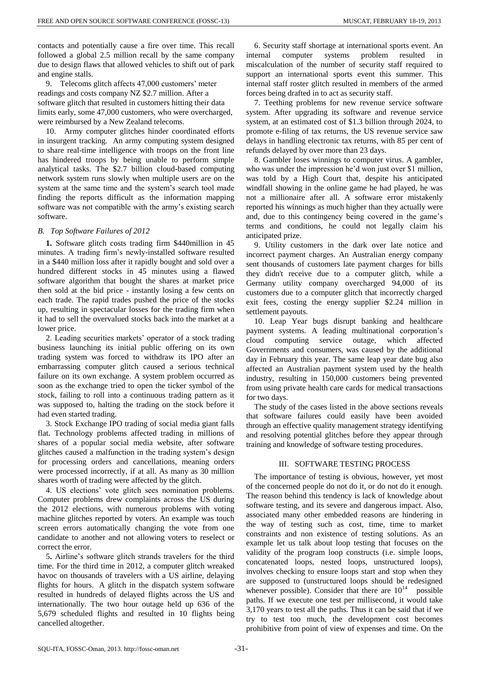contacts and potentially cause a fire over time. This recall followed a global 2.5 million recall by the same company due to design flaws that allowed vehicles to shift out of park and engine stalls.

9. Telecoms glitch affects 47,000 customers' meter readings and costs company NZ \$2.7 million. After a software glitch that resulted in customers hitting their data limits early, some 47,000 customers, who were overcharged, were reimbursed by a New Zealand telecoms.

10. Army computer glitches hinder coordinated efforts in insurgent tracking. An army computing system designed to share real-time intelligence with troops on the front line has hindered troops by being unable to perform simple analytical tasks. The \$2.7 billion cloud-based computing network system runs slowly when multiple users are on the system at the same time and the system's search tool made finding the reports difficult as the information mapping software was not compatible with the army's existing search software.

## *B. Top Software Failures of 2012*

**1.** Software glitch costs trading firm \$440million in 45 minutes. A trading firm's newly-installed software resulted in a \$440 million loss after it rapidly bought and sold over a hundred different stocks in 45 minutes using a flawed software algorithm that bought the shares at market price then sold at the bid price - instantly losing a few cents on each trade. The rapid trades pushed the price of the stocks up, resulting in spectacular losses for the trading firm when it had to sell the overvalued stocks back into the market at a lower price.

2. Leading securities markets' operator of a stock trading business launching its initial public offering on its own trading system was forced to withdraw its IPO after an embarrassing computer glitch caused a serious technical failure on its own exchange. A system problem occurred as soon as the exchange tried to open the ticker symbol of the stock, failing to roll into a continuous trading pattern as it was supposed to, halting the trading on the stock before it had even started trading.

3. Stock Exchange IPO trading of social media giant falls flat. Technology problems affected trading in millions of shares of a popular social media website, after software glitches caused a malfunction in the trading system's design for processing orders and cancellations, meaning orders were processed incorrectly, if at all. As many as 30 million shares worth of trading were affected by the glitch.

4. US elections' vote glitch sees nomination problems. Computer problems drew complaints across the US during the 2012 elections, with numerous problems with voting machine glitches reported by voters. An example was touch screen errors automatically changing the vote from one candidate to another and not allowing voters to reselect or correct the error.

5**.** Airline's software glitch strands travelers for the third time. For the third time in 2012, a computer glitch wreaked havoc on thousands of travelers with a US airline, delaying flights for hours. A glitch in the dispatch system software resulted in hundreds of delayed flights across the US and internationally. The two hour outage held up 636 of the 5,679 scheduled flights and resulted in 10 flights being cancelled altogether.

6. Security staff shortage at international sports event. An internal computer systems problem resulted in miscalculation of the number of security staff required to support an international sports event this summer. This internal staff roster glitch resulted in members of the armed forces being drafted in to act as security staff.

7. Teething problems for new revenue service software system. After upgrading its software and revenue service system, at an estimated cost of \$1.3 billion through 2024, to promote e-filing of tax returns, the US revenue service saw delays in handling electronic tax returns, with 85 per cent of refunds delayed by over more than 23 days.

8. Gambler loses winnings to computer virus. A gambler, who was under the impression he'd won just over \$1 million, was told by a High Court that, despite his anticipated windfall showing in the online game he had played, he was not a millionaire after all. A software error mistakenly reported his winnings as much higher than they actually were and, due to this contingency being covered in the game's terms and conditions, he could not legally claim his anticipated prize.

9. Utility customers in the dark over late notice and incorrect payment charges. An Australian energy company sent thousands of customers late payment charges for bills they didn't receive due to a computer glitch, while a Germany utility company overcharged 94,000 of its customers due to a computer glitch that incorrectly charged exit fees, costing the energy supplier \$2.24 million in settlement payouts.

10. Leap Year bugs disrupt banking and healthcare payment systems. A leading multinational corporation's cloud computing service outage, which affected Governments and consumers, was caused by the additional day in February this year. The same leap year date bug also affected an Australian payment system used by the health industry, resulting in 150,000 customers being prevented from using private health care cards for medical transactions for two days.

The study of the cases listed in the above sections reveals that software failures could easily have been avoided through an effective quality management strategy identifying and resolving potential glitches before they appear through training and knowledge of software testing procedures.

# III. SOFTWARE TESTING PROCESS

The importance of testing is obvious, however, yet most of the concerned people do not do it, or do not do it enough. The reason behind this tendency is lack of knowledge about software testing, and its severe and dangerous impact. Also, associated many other embedded reasons are hindering in the way of testing such as cost, time, time to market constraints and non existence of testing solutions. As an example let us talk about loop testing that focuses on the validity of the program loop constructs (i.e. simple loops, concatenated loops, nested loops, unstructured loops), involves checking to ensure loops start and stop when they are supposed to (unstructured loops should be redesigned whenever possible). Consider that there are  $10^{14}$  possible paths. If we execute one test per millisecond, it would take 3,170 years to test all the paths. Thus it can be said that if we try to test too much, the development cost becomes prohibitive from point of view of expenses and time. On the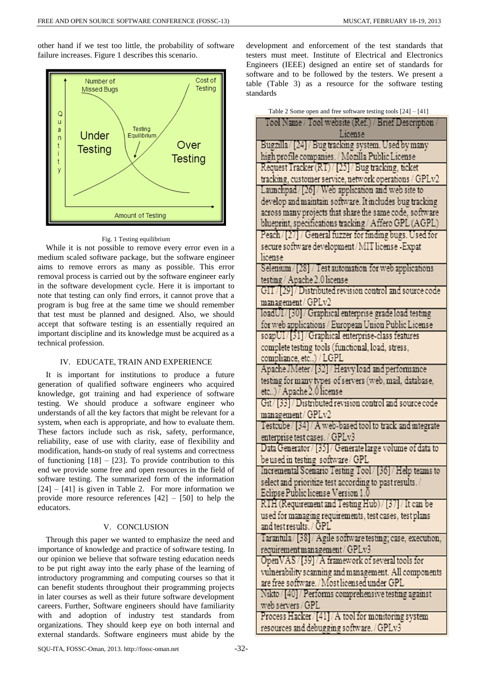other hand if we test too little, the probability of software failure increases. Figure 1 describes this scenario.



#### Fig. 1 Testing equilibrium

While it is not possible to remove every error even in a medium scaled software package, but the software engineer aims to remove errors as many as possible. This error removal process is carried out by the software engineer early in the software development cycle. Here it is important to note that testing can only find errors, it cannot prove that a program is bug free at the same time we should remember that test must be planned and designed. Also, we should accept that software testing is an essentially required an important discipline and its knowledge must be acquired as a technical profession.

## IV. EDUCATE, TRAIN AND EXPERIENCE

It is important for institutions to produce a future generation of qualified software engineers who acquired knowledge, got training and had experience of software testing. We should produce a software engineer who understands of all the key factors that might be relevant for a system, when each is appropriate, and how to evaluate them. These factors include such as risk, safety, performance, reliability, ease of use with clarity, ease of flexibility and modification, hands-on study of real systems and correctness of functioning  $[18] - [23]$ . To provide contribution to this end we provide some free and open resources in the field of software testing. The summarized form of the information  $[24] - [41]$  is given in Table 2. For more information we provide more resource references  $[42] - [50]$  to help the educators.

#### V. CONCLUSION

Through this paper we wanted to emphasize the need and importance of knowledge and practice of software testing. In our opinion we believe that software testing education needs to be put right away into the early phase of the learning of introductory programming and computing courses so that it can benefit students throughout their programming projects in later courses as well as their future software development careers. Further, Software engineers should have familiarity with and adoption of industry test standards from organizations. They should keep eye on both internal and external standards. Software engineers must abide by the

development and enforcement of the test standards that testers must meet. Institute of Electrical and Electronics Engineers (IEEE) designed an entire set of standards for software and to be followed by the testers. We present a table (Table 3) as a resource for the software testing standards

| Table 2 Some open and free software testing tools $[24] - [41]$                                         |
|---------------------------------------------------------------------------------------------------------|
| Tool Name / Tool website (Ref.) / Brief Description<br>License                                          |
|                                                                                                         |
| Bugzilla / [24] / Bug tracking system. Used by many<br>high profile companies. / Mozilla Public License |
| Request Tracker (RT) / [25] / Bug tracking, ticket                                                      |
|                                                                                                         |
| tracking, customer service, network operations / GPLv2                                                  |
| Launchpad / [26] / Web application and web site to                                                      |
| develop and maintain software. It includes bug tracking                                                 |
| across many projects that share the same code, software                                                 |
| blueprint, specifications tracking / Affero GPL (AGPL)                                                  |
| Peach / [27] / General fuzzer for finding bugs. Used for                                                |
| secure software development / MIT license - Expat                                                       |
| license                                                                                                 |
| Selenium / [28] / Test automation for web applications                                                  |
| testing / Apache 2.0 license                                                                            |
| GIT / [29] / Distributed revision control and source code                                               |
| management/GPLv2                                                                                        |
| loadUI/[30]/ Graphical enterprise grade load testing                                                    |
| for web applications / European Union Public License                                                    |
| soapUI/[31]/Graphical enterprise-class features                                                         |
| complete testing tools (functional, load, stress,                                                       |
| compliance, etc) / LGPL                                                                                 |
| Apache JMeter / [32] / Heavy load and performance                                                       |
| testing for many types of servers (web, mail, database,                                                 |
| etc) Apache 2.0 license                                                                                 |
| Git / [33] / Distributed revision control and source code                                               |
| management / GPLv2                                                                                      |
| Testcube/[34]/ A web-based tool to track and integrate                                                  |
| enterprise test cases. / GPLv3                                                                          |
| Data Generator / [35] / Generate large volume of data to                                                |
| be used in testing software/GPL                                                                         |
| Incremental Scenario Testing Tool / [36] / Help teams to                                                |
| select and prioritize test according to past results./                                                  |
| Eclipse Public license Version 1.0                                                                      |
| RTH (Requirement and Testing Hub) / [37] / It can be                                                    |
| used for managing requirements, test cases, test plans                                                  |
| and test results. / GPL                                                                                 |
| Tarantula / [38] / Agile software testing; case, execution,                                             |
| requirement management / GPLv3                                                                          |
| OpenVAS / [39] / A framework of several tools for                                                       |
| vulnerability scanning and management. All components                                                   |
| are free software. / Most licensed under GPL                                                            |
|                                                                                                         |
|                                                                                                         |
| Nikto / [40] / Performs comprehensive testing against                                                   |
| web servers / GPL                                                                                       |
| Process Hacker/[41]/ A tool for monitoring system<br>resources and debugging software. / GPLv3          |